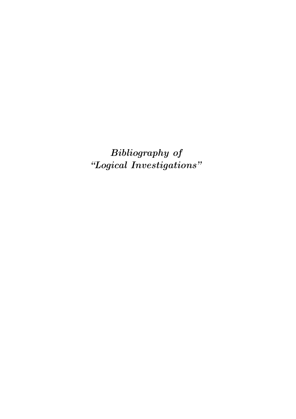*Bibliography of "Logical Investigations"*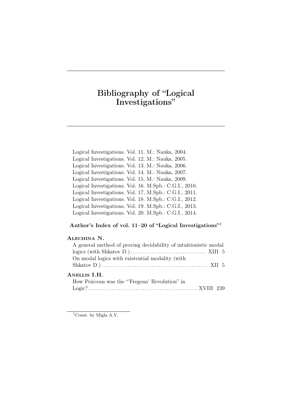# Bibliography of "Logical Investigations"

Logical Investigations. Vol. 11. M.: Nauka, 2004. Logical Investigations. Vol. 12. M.: Nauka, 2005. Logical Investigations. Vol. 13. M.: Nauka, 2006. Logical Investigations. Vol. 14. M.: Nauka, 2007. Logical Investigations. Vol. 15. M.: Nauka, 2009. Logical Investigations. Vol. 16. M.Spb.: C.G.I., 2010. Logical Investigations. Vol. 17. M.Spb.: C.G.I., 2011. Logical Investigations. Vol. 18. M.Spb.: C.G.I., 2012. Logical Investigations. Vol. 19. M.Spb.: C.G.I., 2013. Logical Investigations. Vol. 20. M.Spb.: C.G.I., 2014.

#### Author's Index of vol. 11-20 of "Logical Investigations"<sup>1</sup>

# Alechina N.

| A general method of proving decidability of intuitionistic modal |  |
|------------------------------------------------------------------|--|
|                                                                  |  |
| On modal logics with existential modality (with                  |  |
|                                                                  |  |
| ANELLIS I.H.                                                     |  |
| How Peircean was the "Fregean' Revolution" in                    |  |
|                                                                  |  |
|                                                                  |  |

<sup>&</sup>lt;sup>1</sup>Const. by Migla A.V.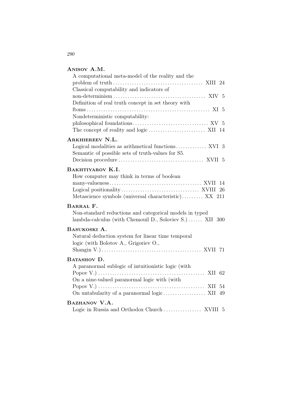#### Anisov A.M.

| Logical modalities as arithmetical functions XVI 3       |
|----------------------------------------------------------|
|                                                          |
|                                                          |
|                                                          |
|                                                          |
|                                                          |
|                                                          |
| Metascience symbols (universal characteristic) XX 211    |
|                                                          |
| Non-standard reductions and categorical models in typed  |
| lambda-calculus (with Chemouil D., Soloviev S.)  XII 300 |
|                                                          |
|                                                          |
|                                                          |
|                                                          |
|                                                          |
|                                                          |
|                                                          |
|                                                          |
|                                                          |
|                                                          |
|                                                          |
|                                                          |
|                                                          |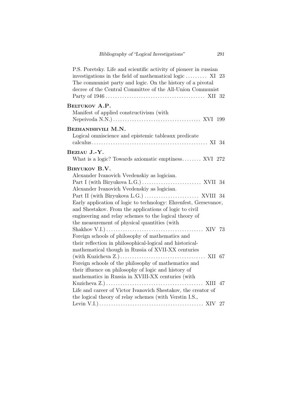| P.S. Poretsky. Life and scientific activity of pioneer in russian<br>investigations in the field of mathematical logic $\dots$ XI 23<br>The communist party and logic. On the history of a pivotal<br>decree of the Central Committee of the All-Union Communist                                                    |
|---------------------------------------------------------------------------------------------------------------------------------------------------------------------------------------------------------------------------------------------------------------------------------------------------------------------|
| BELTUKOV A.P.<br>Manifest of applied constructivism (with                                                                                                                                                                                                                                                           |
| BEZHANISHVILI M.N.<br>Logical omniscience and epistemic tableaux predicate                                                                                                                                                                                                                                          |
| BEZIAU J.-Y.<br>What is a logic? Towards axiomatic emptiness XVI 272                                                                                                                                                                                                                                                |
| BIRYUKOV B.V.<br>Alexander Ivanovich Vvedenskiy as logician.<br>Alexander Ivanovich Vvedenskiy as logician.<br>Early application of logic to technology: Ehrenfest, Gersevanov,<br>and Shestakov. From the applications of logic to civil<br>engineering and relay schemes to the logical theory of                 |
| the measurement of physical quantities (with<br>Shakhov V.I.) $\dots \dots \dots \dots \dots \dots \dots \dots \dots \dots \dots \dots \dots$ XIV 73<br>Foreign schools of philosophy of mathematics and<br>their reflection in philosophical-logical and historical-                                               |
| mathematical though in Russia of XVII-XX centuries<br>(with Kuzicheva Z.) $\dots \dots \dots \dots \dots \dots \dots \dots \dots \dots$ XII 67<br>Foreign schools of the philosophy of mathematics and<br>their ifluence on philosophy of logic and history of<br>mathematics in Russia in XVIII-XX centuries (with |
| Life and career of Victor Ivanovich Shestakov, the creator of<br>the logical theory of relay schemes (with Verstin I.S.,                                                                                                                                                                                            |
|                                                                                                                                                                                                                                                                                                                     |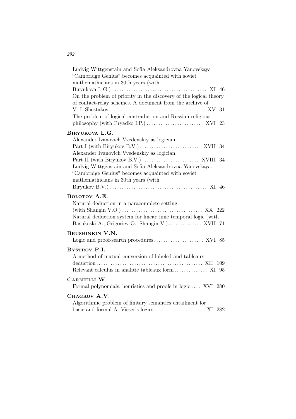| Ludvig Wittgenstain and Sofia Aleksandrovna Yanovskaya<br>"Cambridge Genius" becomes acquainted with soviet<br>mathemathicians in 30th years (with<br>On the problem of priority in the discovery of the logical theory<br>of contact-relay schemes. A document from the archive of<br>31<br>The problem of logical contradiction and Russian religious |
|---------------------------------------------------------------------------------------------------------------------------------------------------------------------------------------------------------------------------------------------------------------------------------------------------------------------------------------------------------|
| BIRYUKOVA L.G.<br>Alexander Ivanovich Vvedenskiy as logician.<br>Alexander Ivanovich Vvedenskiy as logician.<br>Ludvig Wittgenstain and Sofia Aleksandrovna Yanovskaya.<br>"Cambridge Genius" becomes acquainted with soviet<br>mathemathicians in 30th years (with                                                                                     |
| BOLOTOV A.E.<br>Natural deduction in a paracomplete setting<br>(with Shangin V.O.) $\dots \dots \dots \dots \dots \dots \dots \dots \dots \dots$ XX 222<br>Natural deduction system for linear time temporal logic (with<br>Basukoski A., Grigoriev O., Shangin V.) XVII 71                                                                             |
| <b>BRUSHINKIN V.N.</b>                                                                                                                                                                                                                                                                                                                                  |
| <b>BYSTROV P.I.</b><br>A method of mutual conversion of labeled and tableaux<br>Relevant calculus in analitic tableaux form  XI 95                                                                                                                                                                                                                      |
| CARNIELLI W.<br>Formal polynomials, heuristics and proofs in logic  XVI 280                                                                                                                                                                                                                                                                             |
| CHAGROV A.V.<br>Algorithmic problem of finitary semantics entailment for                                                                                                                                                                                                                                                                                |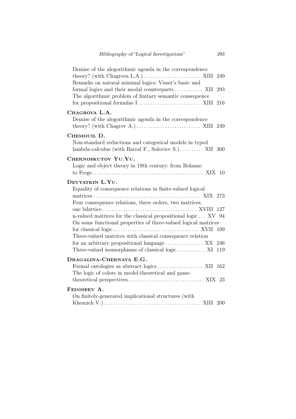| Demise of the alogorithmic agenda in the correspondence<br>theory? (with Chagrova L.A.) $\dots \dots \dots \dots \dots \dots$ XIII 249<br>Remarks on natural minimal logics: Visser's basic and<br>formal logics and their modal counterparts XII<br>293<br>The algorithmic problem of finitary semantic consequence<br>216                                                                                                                                     |
|-----------------------------------------------------------------------------------------------------------------------------------------------------------------------------------------------------------------------------------------------------------------------------------------------------------------------------------------------------------------------------------------------------------------------------------------------------------------|
| CHAGROVA L.A.<br>Demise of the alogorithmic agenda in the correspondence<br>theory? (with Chagrov A.) $\dots \dots \dots \dots \dots \dots \dots$ XIII 249                                                                                                                                                                                                                                                                                                      |
| CHEMOUIL D.<br>Non-standard reductions and categorical models in typed<br>lambda-calculus (with Barral F., Soloviev S.) XII 300                                                                                                                                                                                                                                                                                                                                 |
| CHERNOSKUTOV YU.YU.<br>Logic and object theory in 19th century: from Bolzano                                                                                                                                                                                                                                                                                                                                                                                    |
| DEVYATKIN L.YU.<br>Equality of consequence relations in finite-valued logical<br>Four consequence relations, three orders, two matrices,<br>127<br>n-valued matrices for the classical propositional logic XV 94<br>On some functional properties of three-valued logical matrices<br>109<br>Three-valued matrices with classical consequence relation<br>for an arbitrary propositional language XX 246<br>Three-valued isomorphisms of classical logic XI 119 |
| DRAGALINA-CHERNAYA E.G.<br>The logic of colors in model-theoretical and game-                                                                                                                                                                                                                                                                                                                                                                                   |
| FEDOSEEV A.<br>On finitely-generated implicational structures (with                                                                                                                                                                                                                                                                                                                                                                                             |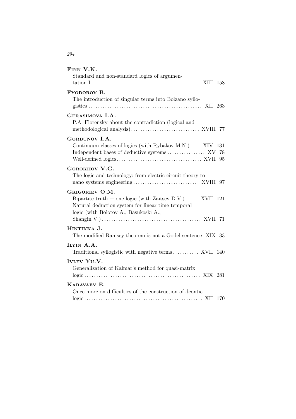| FINN V.K.<br>Standard and non-standard logics of argumen-                                                                                                                                                                                                                       |
|---------------------------------------------------------------------------------------------------------------------------------------------------------------------------------------------------------------------------------------------------------------------------------|
| <b>FYODOROV B.</b><br>The introduction of singular terms into Bolzano syllo-                                                                                                                                                                                                    |
| GERASIMOVA I.A.<br>P.A. Florensky about the contradiction (logical and                                                                                                                                                                                                          |
| GORBUNOV I.A.<br>Continuum classes of logics (with Rybakov M.N.)  XIV 131<br>Independent bases of deductive systems XV 78                                                                                                                                                       |
| GOROKHOV V.G.<br>The logic and technology: from electric circuit theory to                                                                                                                                                                                                      |
| GRIGORIEV O.M.<br>Bipartite truth — one logic (with Zaitsev D.V.) XVII 121<br>Natural deduction system for linear time temporal<br>logic (with Bolotov A., Basukoski A.,<br>Shangin V.) $\dots \dots \dots \dots \dots \dots \dots \dots \dots \dots \dots \dots \dots$ XVII 71 |
| HINTIKKA J.<br>The modified Ramsey theorem is not a Godel sentence XIX 33                                                                                                                                                                                                       |
| ILYIN A.A.<br>Traditional syllogistic with negative terms XVII 140                                                                                                                                                                                                              |
| IVLEV YU.V.<br>Generalization of Kalmar's method for quasi-matrix                                                                                                                                                                                                               |
| KARAVAEV E.<br>Once more on difficulties of the construction of deontic                                                                                                                                                                                                         |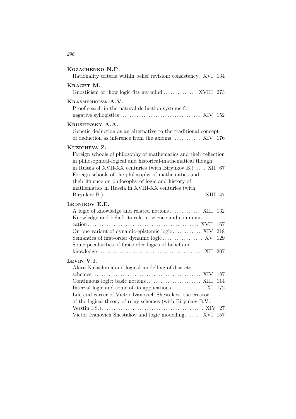| KOZACHENKO N.P.                                                                                                                                                                                                                                                                                                                                                   |
|-------------------------------------------------------------------------------------------------------------------------------------------------------------------------------------------------------------------------------------------------------------------------------------------------------------------------------------------------------------------|
| Rationality criteria within belief revision: consistency. XVI 134                                                                                                                                                                                                                                                                                                 |
| KRACHT M.                                                                                                                                                                                                                                                                                                                                                         |
| Gnosticism or: how logic fits my mind XVIII 273                                                                                                                                                                                                                                                                                                                   |
| KRASNENKOVA A.V.<br>Proof search in the natural deduction systems for                                                                                                                                                                                                                                                                                             |
| KRUSHINSKY A.A.                                                                                                                                                                                                                                                                                                                                                   |
| Genetic deduction as an alternative to the traditional concept<br>of deduction as inference from the axioms  XIV 176                                                                                                                                                                                                                                              |
| KUZICHEVA Z.                                                                                                                                                                                                                                                                                                                                                      |
| Foreign schools of philosophy of mathematics and their reflection<br>in philosophical-logical and historical-mathematical though<br>in Russia of XVII-XX centuries (with Biryukov B.) XII 67<br>Foreign schools of the philosophy of mathematics and<br>their ifluence on philosophy of logic and history of<br>mathematics in Russia in XVIII-XX centuries (with |
| LEDNIKOV E.E.                                                                                                                                                                                                                                                                                                                                                     |
| 132<br>Knowledge and belief: its role in science and communi-                                                                                                                                                                                                                                                                                                     |
| 167                                                                                                                                                                                                                                                                                                                                                               |
| On one variant of dynamic-epistemic logic XIV<br>218                                                                                                                                                                                                                                                                                                              |
| 129<br>Some pecularities of first-order logics of belief and                                                                                                                                                                                                                                                                                                      |
|                                                                                                                                                                                                                                                                                                                                                                   |
| LEVIN V.I.                                                                                                                                                                                                                                                                                                                                                        |
| Akira Nakashima and logical modelling of discrete<br>187                                                                                                                                                                                                                                                                                                          |
| 114                                                                                                                                                                                                                                                                                                                                                               |
| 172                                                                                                                                                                                                                                                                                                                                                               |
| Life and career of Victor Ivanovich Shestakov, the creator                                                                                                                                                                                                                                                                                                        |
| of the logical theory of relay schemes (with Biryukov B.V.,                                                                                                                                                                                                                                                                                                       |
| 27                                                                                                                                                                                                                                                                                                                                                                |
| Victor Ivanovich Shestakov and logic modelling XVI<br>157                                                                                                                                                                                                                                                                                                         |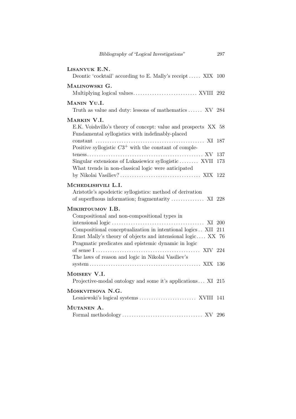| LISANYUK E.N.<br>Deontic 'cocktail' according to E. Mally's receipt XIX 100                                                                                                                                                                                                                                   |            |
|---------------------------------------------------------------------------------------------------------------------------------------------------------------------------------------------------------------------------------------------------------------------------------------------------------------|------------|
| MALINOWSKI G.                                                                                                                                                                                                                                                                                                 |            |
| MANIN YU.I.<br>Truth as value and duty: lessons of mathematics  XV 284                                                                                                                                                                                                                                        |            |
| MARKIN V.I.<br>E.K. Voishvillo's theory of concept: value and prospects XX 58<br>Fundamental syllogistics with indefinably-placed<br>Positive syllogistic $C3^+$ with the constant of comple-<br>Singular extensions of Lukasiewicz syllogistic XVII<br>What trends in non-classical logic were anticipated   | 137<br>173 |
| MCHEDLISHVILI L.I.<br>Aristotle's apodeictic syllogistics: method of derivation<br>of superfluous information; fragmentarity  XI 228                                                                                                                                                                          |            |
| MIKIRTOUMOV I.B.<br>Compositional and non-compositional types in<br>Compositional conceptualization in intentional logics XII 211<br>Ernst Mally's theory of objects and intensional logic XX 76<br>Pragmatic predicates and epistemic dynamic in logic<br>The laws of reason and logic in Nikolai Vasiliev's |            |
| MOISEEV V.I.<br>Projective-modal ontology and some it's applications XI 215                                                                                                                                                                                                                                   |            |
| MOSKVITSOVA N.G.                                                                                                                                                                                                                                                                                              |            |
| MUTANEN A.                                                                                                                                                                                                                                                                                                    |            |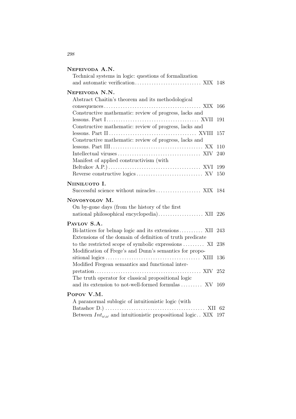# Nepeivoda A.N.

| Technical systems in logic: questions of formalization                       |      |
|------------------------------------------------------------------------------|------|
| NEPEIVODA N.N.                                                               |      |
| Abstract Chaitin's theorem and its methodological                            |      |
| Constructive mathematic: review of progress, lacks and                       | 166  |
|                                                                              | 191  |
| Constructive mathematic: review of progress, lacks and                       |      |
|                                                                              | 157  |
| Constructive mathematic: review of progress, lacks and                       |      |
|                                                                              | 110  |
|                                                                              | 240  |
| Manifest of applied constructivism (with                                     |      |
|                                                                              | 199  |
|                                                                              | 150  |
| NIINILUOTO I.                                                                |      |
| Successful science without miracles XIX 184                                  |      |
| Novosyolov M.                                                                |      |
| On by-gone days (from the history of the first                               |      |
| national philosophical encyclopedia) XII 226                                 |      |
| PAVLOV S.A.                                                                  |      |
| Bi-lattices for belnap logic and its extensions XII                          | -243 |
| Extensions of the domain of definition of truth predicate                    |      |
| to the restricted scope of symbolic expressions  XI                          | 238  |
| Modification of Frege's and Dunn's semantics for propo-                      |      |
|                                                                              | 136  |
| Modified Fregean semantics and functional inter-                             |      |
|                                                                              | 252  |
| The truth operator for classical propositional logic                         |      |
| and its extension to not-well-formed formulas  XV                            | 169  |
| POPOV V.M.                                                                   |      |
| A paranormal sublogic of intuitionistic logic (with                          |      |
|                                                                              |      |
| Between $Int_{\omega,\omega}$ and intuitionistic propositional logic XIX 197 |      |
|                                                                              |      |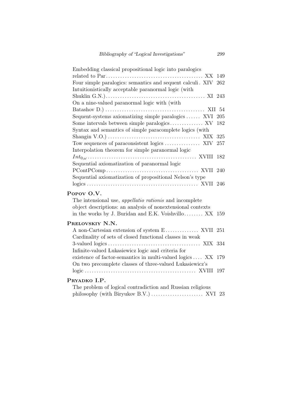| Embedding classical propositional logic into paralogics           |
|-------------------------------------------------------------------|
| 149                                                               |
| Four simple paralogics: semantics and sequent calculi. XIV<br>262 |
| Intuition istically acceptable paranormal logic (with             |
|                                                                   |
| On a nine-valued paranormal logic with (with                      |
|                                                                   |
| Sequent-systems axiomatizing simple paralogics  XVI 205           |
| 182                                                               |
| Syntax and semantics of simple paracomplete logics (with          |
| 325                                                               |
| Tow sequences of paraconsistent logics  XIV<br>$257\,$            |
| Interpolation theorem for simple paranormal logic                 |
| 182                                                               |
| Sequential axiomatization of paranormal logic                     |
| 240                                                               |
| Sequential axiomatization of propositional Nelson's type          |
|                                                                   |
| Popov O.V.                                                        |
| The intensional use, <i>appellatio rationis</i> and incomplete    |
| object descriptions: an analysis of nonextensional contexts       |
| in the works by J. Buridan and E.K. Voishvillo XX 159             |
|                                                                   |
| PRELOVSKIY N.N.                                                   |
| 251                                                               |
| Cardinality of sets of closed functional classes in weak          |
| 334                                                               |
| Infinite-valued Lukasiewicz logic and criteria for                |
| existence of factor-semantics in multi-valued logics XX<br>179    |
| On two precomplete classes of three-valued Lukasiewicz's          |
|                                                                   |
| PRYADKO I.P.                                                      |
| The problem of logical contradiction and Russian religious        |
| 23                                                                |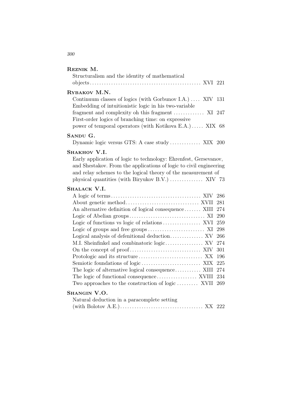| REZNIK M.                                                                                                                                                                                                                                                   |            |
|-------------------------------------------------------------------------------------------------------------------------------------------------------------------------------------------------------------------------------------------------------------|------------|
| Structuralism and the identity of mathematical                                                                                                                                                                                                              |            |
|                                                                                                                                                                                                                                                             |            |
| RYBAKOV M.N.                                                                                                                                                                                                                                                |            |
| Continuum classes of logics (with Gorbunov I.A.)  XIV 131<br>Embedding of intuitionistic logic in his two-variable                                                                                                                                          |            |
| fragment and complexity oh this fragment  XI 247<br>First-order logics of branching time: on expressive<br>power of temporal operators (with Kotikova E.A.) XIX 68                                                                                          |            |
|                                                                                                                                                                                                                                                             |            |
| SANDU G.<br>Dynamic logic versus GTS: A case study  XIX 200                                                                                                                                                                                                 |            |
| SHAKHOV V.I.                                                                                                                                                                                                                                                |            |
| Early application of logic to technology: Ehrenfest, Gersevanov,<br>and Shestakov. From the applications of logic to civil engineering<br>and relay schemes to the logical theory of the measurement of<br>physical quantities (with Biryukov B.V.)  XIV 73 |            |
|                                                                                                                                                                                                                                                             |            |
| SHALACK V.I.                                                                                                                                                                                                                                                |            |
|                                                                                                                                                                                                                                                             | 286        |
|                                                                                                                                                                                                                                                             | 281        |
| An alternative definition of logical consequence XIII                                                                                                                                                                                                       | 274        |
|                                                                                                                                                                                                                                                             | 290        |
|                                                                                                                                                                                                                                                             | 259        |
|                                                                                                                                                                                                                                                             | 298        |
| Logical analysis of defenitional deduction XV                                                                                                                                                                                                               | 266        |
| M.I. Sheinfinkel and combinatoric logic XV                                                                                                                                                                                                                  | 274        |
|                                                                                                                                                                                                                                                             | 301        |
|                                                                                                                                                                                                                                                             | 196        |
|                                                                                                                                                                                                                                                             | 225        |
| The logic of alternative logical consequence XIII                                                                                                                                                                                                           | 274<br>234 |

#### Shangin V.O.

| Natural deduction in a paracomplete setting |  |  |  |  |  |  |
|---------------------------------------------|--|--|--|--|--|--|
|                                             |  |  |  |  |  |  |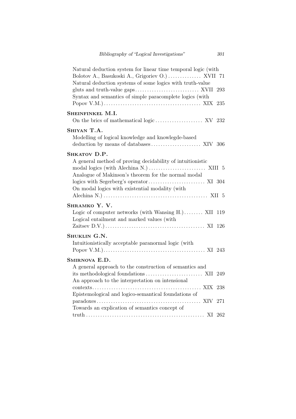| Natural deduction system for linear time temporal logic (with<br>Bolotov A., Basukoski A., Grigoriev O.)  XVII 71<br>Natural deduction systems of some logics with truth-value<br>Syntax and semantics of simple paracomplete logics (with<br>Popov V.M.) $\dots \dots \dots \dots \dots \dots \dots \dots \dots \dots \dots \dots$ . XIX 235 |  |
|-----------------------------------------------------------------------------------------------------------------------------------------------------------------------------------------------------------------------------------------------------------------------------------------------------------------------------------------------|--|
| SHEINFINKEL M.I.                                                                                                                                                                                                                                                                                                                              |  |
| SHIYAN T.A.<br>Modelling of logical knowledge and knowlegde-based                                                                                                                                                                                                                                                                             |  |
| SHKATOV D.P.<br>A general method of proving decidability of intuitionistic<br>Analogue of Makinson's theorem for the normal modal<br>On modal logics with existential modality (with                                                                                                                                                          |  |
| Shramko Y. V.<br>Logic of computer networks (with Wansing H.) XII 119<br>Logical entailment and marked values (with                                                                                                                                                                                                                           |  |
|                                                                                                                                                                                                                                                                                                                                               |  |
| Shuklin G.N.<br>Intuitionistically acceptable paranormal logic (with                                                                                                                                                                                                                                                                          |  |
| SMIRNOVA E.D.<br>A general approach to the construction of semantics and<br>An approach to the interpretation on intensional                                                                                                                                                                                                                  |  |
| Epistemological and logico-semantical foundations of<br>$\text{paradows.}$ XIV 271<br>Towards an explication of semantics concept of                                                                                                                                                                                                          |  |
|                                                                                                                                                                                                                                                                                                                                               |  |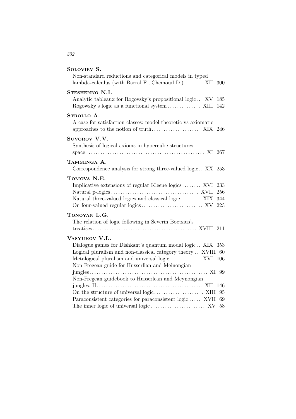# Soloviev S.

| Non-standard reductions and categorical models in typed<br>lambda-calculus (with Barral F., Chemouil D.) XII 300                                                                                                                                   |                   |
|----------------------------------------------------------------------------------------------------------------------------------------------------------------------------------------------------------------------------------------------------|-------------------|
| STESHENKO N.I.<br>Analytic tableaux for Rogovsky's propositional logic XV                                                                                                                                                                          | 185<br>142        |
| STROLLO A.<br>A case for satisfaction classes: model theoretic vs axiomatic                                                                                                                                                                        |                   |
| SUVOROV V.V.<br>Synthesis of logical axioms in hypercube structures                                                                                                                                                                                |                   |
| TAMMINGA A.<br>Correspondence analysis for strong three-valued logic XX 253                                                                                                                                                                        |                   |
| TOMOVA N.E.<br>Implicative extensions of regular Kleene logics XVI 233<br>Natural three-valued logics and classical logic  XIX                                                                                                                     | 256<br>344<br>223 |
| TONOYAN L.G.<br>The relation of logic following in Severin Boetsius's                                                                                                                                                                              |                   |
| VASYUKOV V.L.<br>Dialogue games for Dishkant's quantum modal logic XIX 353<br>Logical pluralism and non-classical category theory XVIII 60<br>Metalogical pluralism and universal logic XVI 106<br>Non-Fregean guide for Husserlian and Meinongian |                   |
| Non-Fregean guidebook to Husserlean and Meynongian                                                                                                                                                                                                 |                   |
| On the structure of universal logic $\dots\dots\dots\dots\dots\dots$ . XIII 95<br>Paraconsistent categories for paraconsistent logic XVII                                                                                                          | 69                |